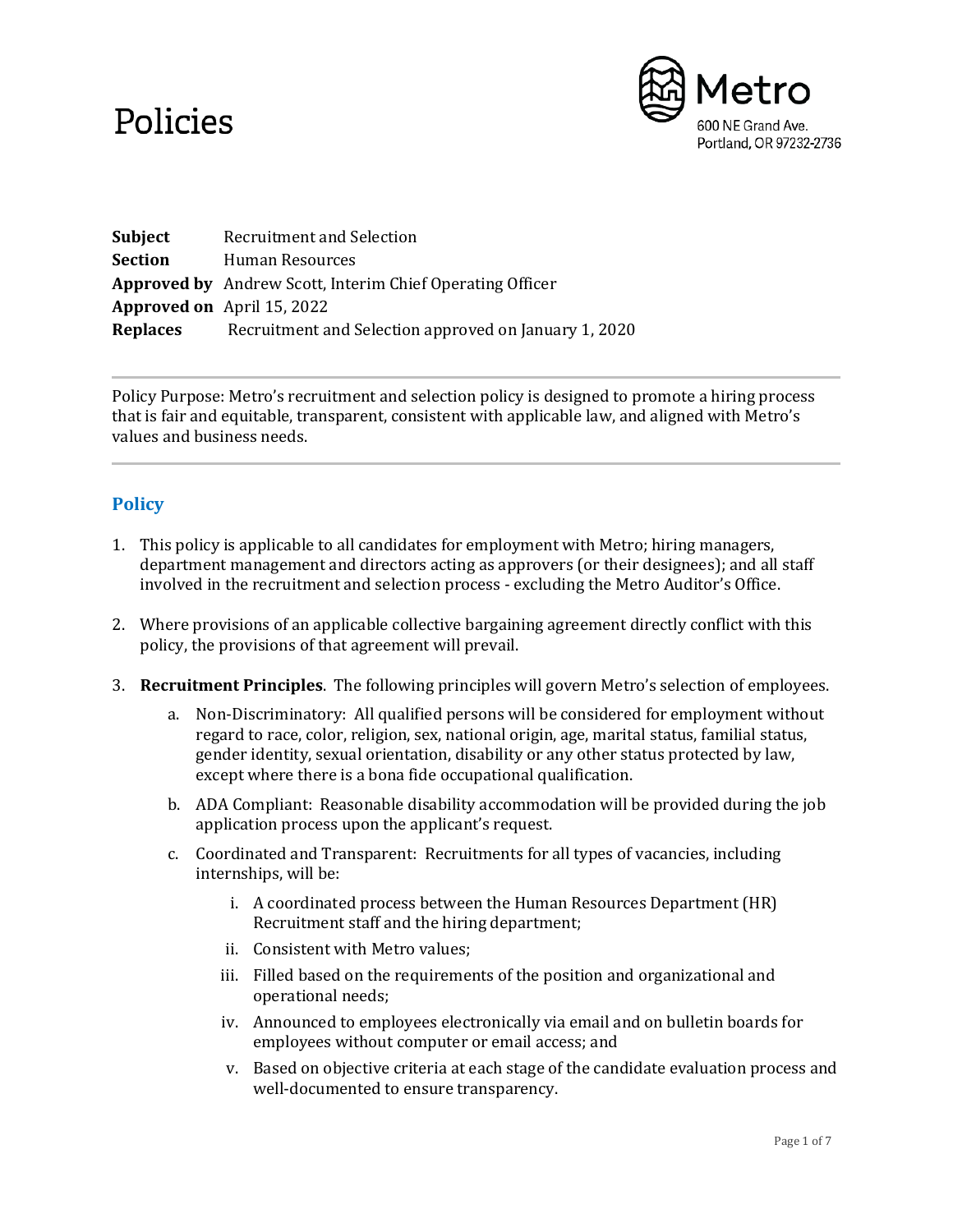## Policies



**Subject** Recruitment and Selection **Section** Human Resources **Approved by** Andrew Scott, Interim Chief Operating Officer **Approved on** April 15, 2022 **Replaces** Recruitment and Selection approved on January 1, 2020

Policy Purpose: Metro's recruitment and selection policy is designed to promote a hiring process that is fair and equitable, transparent, consistent with applicable law, and aligned with Metro's values and business needs.

## **Policy**

- 1. This policy is applicable to all candidates for employment with Metro; hiring managers, department management and directors acting as approvers (or their designees); and all staff involved in the recruitment and selection process - excluding the Metro Auditor's Office.
- 2. Where provisions of an applicable collective bargaining agreement directly conflict with this policy, the provisions of that agreement will prevail.
- 3. **Recruitment Principles**. The following principles will govern Metro's selection of employees.
	- a. Non-Discriminatory: All qualified persons will be considered for employment without regard to race, color, religion, sex, national origin, age, marital status, familial status, gender identity, sexual orientation, disability or any other status protected by law, except where there is a bona fide occupational qualification.
	- b. ADA Compliant: Reasonable disability accommodation will be provided during the job application process upon the applicant's request.
	- c. Coordinated and Transparent: Recruitments for all types of vacancies, including internships, will be:
		- i. A coordinated process between the Human Resources Department (HR) Recruitment staff and the hiring department;
		- ii. Consistent with Metro values;
		- iii. Filled based on the requirements of the position and organizational and operational needs;
		- iv. Announced to employees electronically via email and on bulletin boards for employees without computer or email access; and
		- v. Based on objective criteria at each stage of the candidate evaluation process and well-documented to ensure transparency.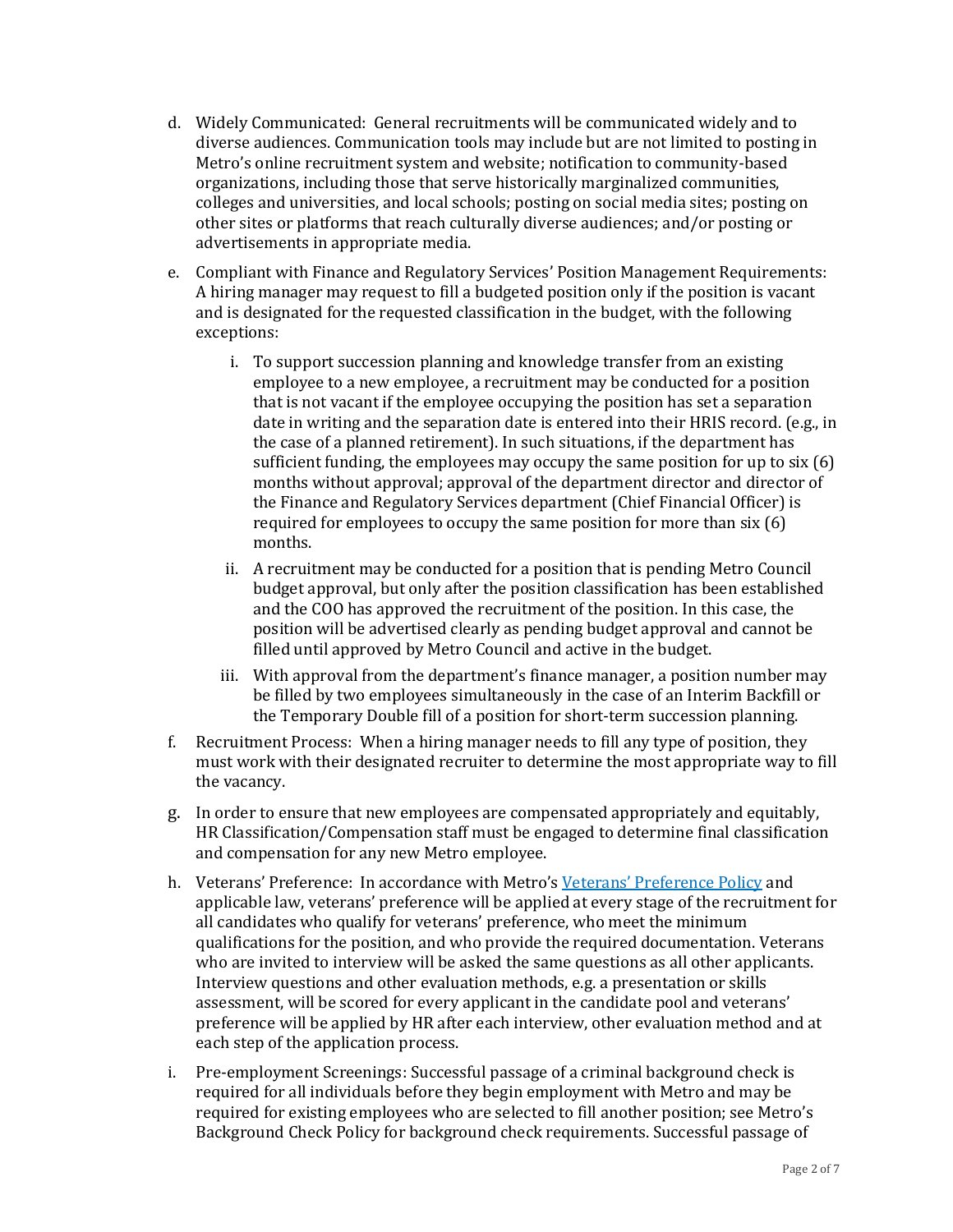- d. Widely Communicated: General recruitments will be communicated widely and to diverse audiences. Communication tools may include but are not limited to posting in Metro's online recruitment system and website; notification to community-based organizations, including those that serve historically marginalized communities, colleges and universities, and local schools; posting on social media sites; posting on other sites or platforms that reach culturally diverse audiences; and/or posting or advertisements in appropriate media.
- e. Compliant with Finance and Regulatory Services' Position Management Requirements: A hiring manager may request to fill a budgeted position only if the position is vacant and is designated for the requested classification in the budget, with the following exceptions:
	- i. To support succession planning and knowledge transfer from an existing employee to a new employee, a recruitment may be conducted for a position that is not vacant if the employee occupying the position has set a separation date in writing and the separation date is entered into their HRIS record. (e.g., in the case of a planned retirement). In such situations, if the department has sufficient funding, the employees may occupy the same position for up to six (6) months without approval; approval of the department director and director of the Finance and Regulatory Services department (Chief Financial Officer) is required for employees to occupy the same position for more than six (6) months.
	- ii. A recruitment may be conducted for a position that is pending Metro Council budget approval, but only after the position classification has been established and the COO has approved the recruitment of the position. In this case, the position will be advertised clearly as pending budget approval and cannot be filled until approved by Metro Council and active in the budget.
	- iii. With approval from the department's finance manager, a position number may be filled by two employees simultaneously in the case of an Interim Backfill or the Temporary Double fill of a position for short-term succession planning.
- f. Recruitment Process: When a hiring manager needs to fill any type of position, they must work with their designated recruiter to determine the most appropriate way to fill the vacancy.
- g. In order to ensure that new employees are compensated appropriately and equitably, HR Classification/Compensation staff must be engaged to determine final classification and compensation for any new Metro employee.
- h. Veterans' Preference: In accordance with Metro's Veterans' Preference Policy and applicable law, veterans' preference will be applied at every stage of the recruitment for all candidates who qualify for veterans' preference, who meet the minimum qualifications for the position, and who provide the required documentation. Veterans who are invited to interview will be asked the same questions as all other applicants. Interview questions and other evaluation methods, e.g. a presentation or skills assessment, will be scored for every applicant in the candidate pool and veterans' preference will be applied by HR after each interview, other evaluation method and at each step of the application process.
- i. Pre-employment Screenings: Successful passage of a criminal background check is required for all individuals before they begin employment with Metro and may be required for existing employees who are selected to fill another position; see Metro's Background Check Policy for background check requirements. Successful passage of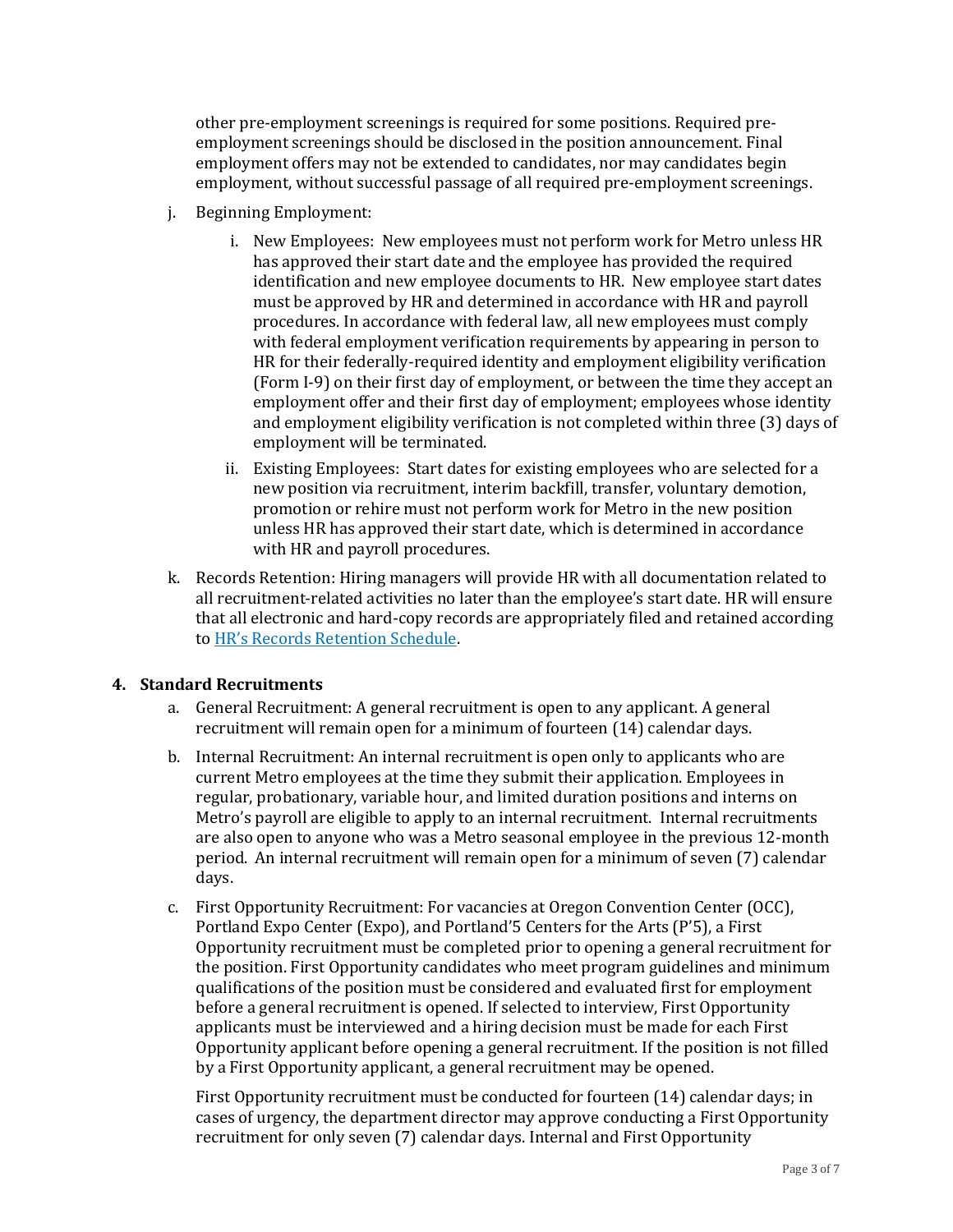other pre-employment screenings is required for some positions. Required preemployment screenings should be disclosed in the position announcement. Final employment offers may not be extended to candidates, nor may candidates begin employment, without successful passage of all required pre-employment screenings.

- j. Beginning Employment:
	- i. New Employees: New employees must not perform work for Metro unless HR has approved their start date and the employee has provided the required identification and new employee documents to HR. New employee start dates must be approved by HR and determined in accordance with HR and payroll procedures. In accordance with federal law, all new employees must comply with federal employment verification requirements by appearing in person to HR for their federally-required identity and employment eligibility verification (Form I-9) on their first day of employment, or between the time they accept an employment offer and their first day of employment; employees whose identity and employment eligibility verification is not completed within three (3) days of employment will be terminated.
	- ii. Existing Employees: Start dates for existing employees who are selected for a new position via recruitment, interim backfill, transfer, voluntary demotion, promotion or rehire must not perform work for Metro in the new position unless HR has approved their start date, which is determined in accordance with HR and payroll procedures.
- k. Records Retention: Hiring managers will provide HR with all documentation related to all recruitment-related activities no later than the employee's start date. HR will ensure that all electronic and hard-copy records are appropriately filed and retained according to HR's Records Retention Schedule.

## **4. Standard Recruitments**

- a. General Recruitment: A general recruitment is open to any applicant. A general recruitment will remain open for a minimum of fourteen (14) calendar days.
- b. Internal Recruitment: An internal recruitment is open only to applicants who are current Metro employees at the time they submit their application. Employees in regular, probationary, variable hour, and limited duration positions and interns on Metro's payroll are eligible to apply to an internal recruitment. Internal recruitments are also open to anyone who was a Metro seasonal employee in the previous 12-month period. An internal recruitment will remain open for a minimum of seven (7) calendar days.
- c. First Opportunity Recruitment: For vacancies at Oregon Convention Center (OCC), Portland Expo Center (Expo), and Portland'5 Centers for the Arts (P'5), a First Opportunity recruitment must be completed prior to opening a general recruitment for the position. First Opportunity candidates who meet program guidelines and minimum qualifications of the position must be considered and evaluated first for employment before a general recruitment is opened. If selected to interview, First Opportunity applicants must be interviewed and a hiring decision must be made for each First Opportunity applicant before opening a general recruitment. If the position is not filled by a First Opportunity applicant, a general recruitment may be opened.

First Opportunity recruitment must be conducted for fourteen (14) calendar days; in cases of urgency, the department director may approve conducting a First Opportunity recruitment for only seven (7) calendar days. Internal and First Opportunity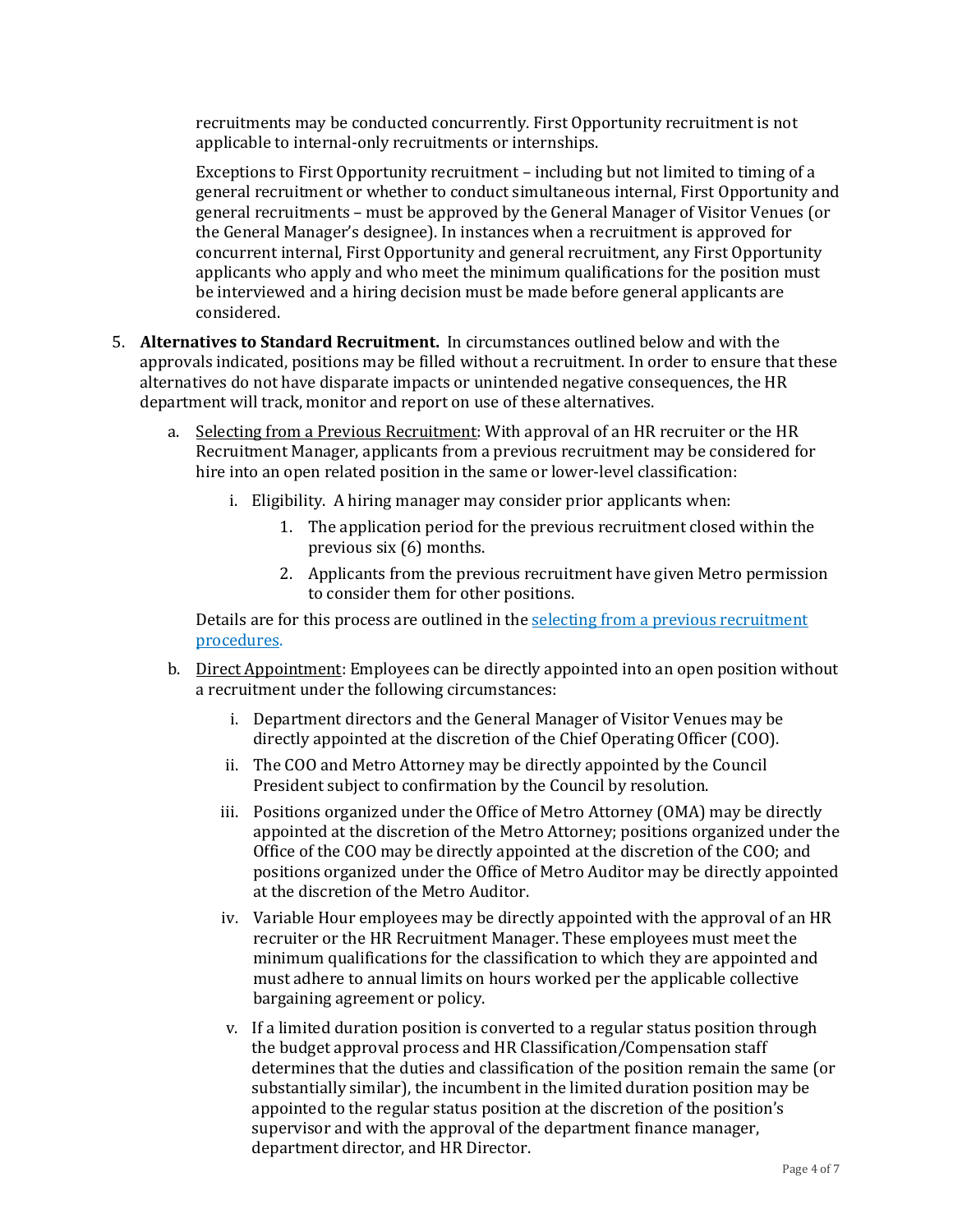recruitments may be conducted concurrently. First Opportunity recruitment is not applicable to internal-only recruitments or internships.

Exceptions to First Opportunity recruitment – including but not limited to timing of a general recruitment or whether to conduct simultaneous internal, First Opportunity and general recruitments – must be approved by the General Manager of Visitor Venues (or the General Manager's designee). In instances when a recruitment is approved for concurrent internal, First Opportunity and general recruitment, any First Opportunity applicants who apply and who meet the minimum qualifications for the position must be interviewed and a hiring decision must be made before general applicants are considered.

- 5. **Alternatives to Standard Recruitment.** In circumstances outlined below and with the approvals indicated, positions may be filled without a recruitment. In order to ensure that these alternatives do not have disparate impacts or unintended negative consequences, the HR department will track, monitor and report on use of these alternatives.
	- a. Selecting from a Previous Recruitment: With approval of an HR recruiter or the HR Recruitment Manager, applicants from a previous recruitment may be considered for hire into an open related position in the same or lower-level classification:
		- i. Eligibility. A hiring manager may consider prior applicants when:
			- 1. The application period for the previous recruitment closed within the previous six (6) months.
			- 2. Applicants from the previous recruitment have given Metro permission to consider them for other positions.

Details are for this process are outlined in the selecting from a previous recruitment procedures.

- b. Direct Appointment: Employees can be directly appointed into an open position without a recruitment under the following circumstances:
	- i. Department directors and the General Manager of Visitor Venues may be directly appointed at the discretion of the Chief Operating Officer (COO).
	- ii. The COO and Metro Attorney may be directly appointed by the Council President subject to confirmation by the Council by resolution.
	- iii. Positions organized under the Office of Metro Attorney (OMA) may be directly appointed at the discretion of the Metro Attorney; positions organized under the Office of the COO may be directly appointed at the discretion of the COO; and positions organized under the Office of Metro Auditor may be directly appointed at the discretion of the Metro Auditor.
	- iv. Variable Hour employees may be directly appointed with the approval of an HR recruiter or the HR Recruitment Manager. These employees must meet the minimum qualifications for the classification to which they are appointed and must adhere to annual limits on hours worked per the applicable collective bargaining agreement or policy.
	- v. If a limited duration position is converted to a regular status position through the budget approval process and HR Classification/Compensation staff determines that the duties and classification of the position remain the same (or substantially similar), the incumbent in the limited duration position may be appointed to the regular status position at the discretion of the position's supervisor and with the approval of the department finance manager, department director, and HR Director.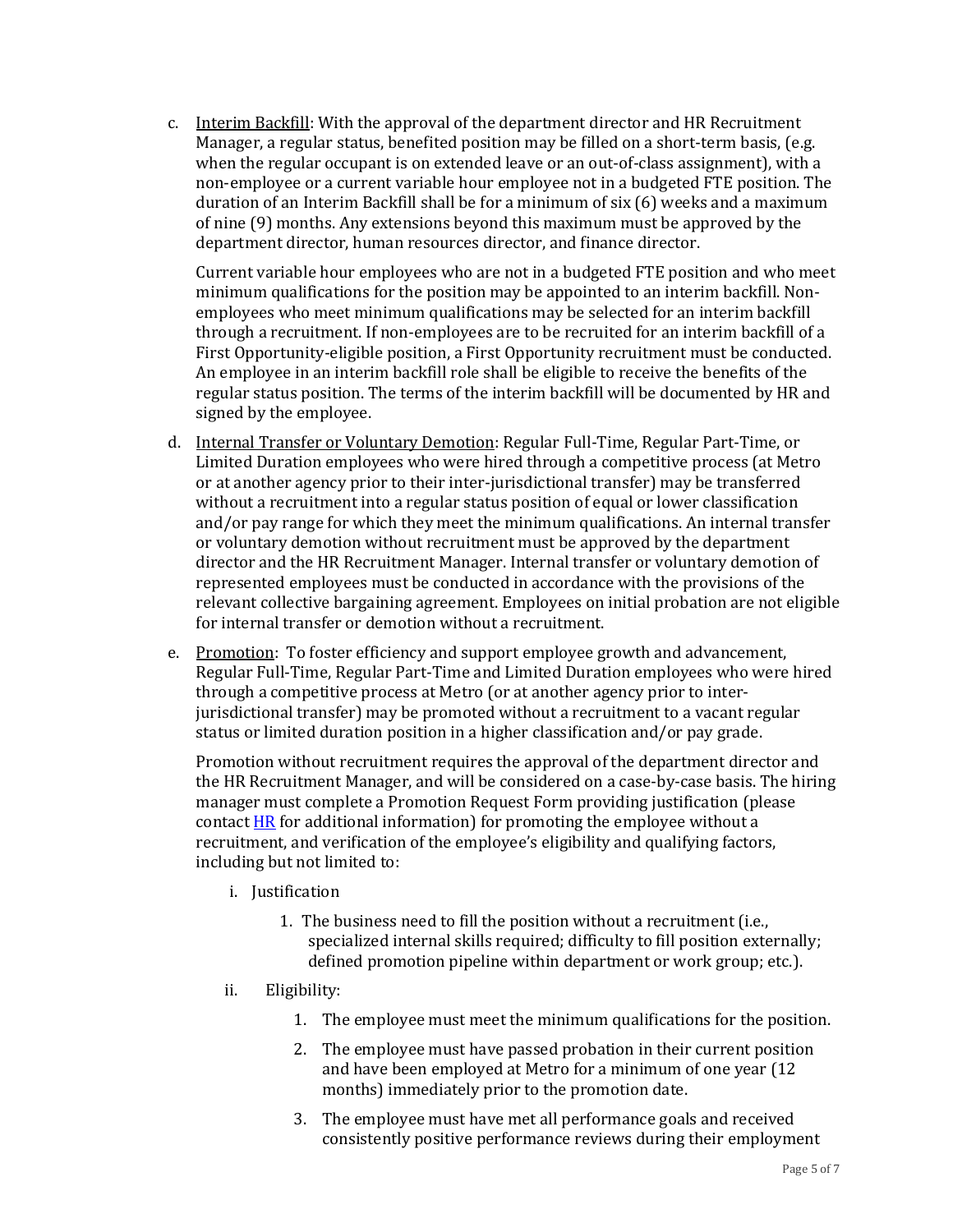c. Interim Backfill: With the approval of the department director and HR Recruitment Manager, a regular status, benefited position may be filled on a short-term basis, (e.g. when the regular occupant is on extended leave or an out-of-class assignment), with a non-employee or a current variable hour employee not in a budgeted FTE position. The duration of an Interim Backfill shall be for a minimum of six (6) weeks and a maximum of nine (9) months. Any extensions beyond this maximum must be approved by the department director, human resources director, and finance director.

Current variable hour employees who are not in a budgeted FTE position and who meet minimum qualifications for the position may be appointed to an interim backfill. Nonemployees who meet minimum qualifications may be selected for an interim backfill through a recruitment. If non-employees are to be recruited for an interim backfill of a First Opportunity-eligible position, a First Opportunity recruitment must be conducted. An employee in an interim backfill role shall be eligible to receive the benefits of the regular status position. The terms of the interim backfill will be documented by HR and signed by the employee.

- d. Internal Transfer or Voluntary Demotion: Regular Full-Time, Regular Part-Time, or Limited Duration employees who were hired through a competitive process (at Metro or at another agency prior to their inter-jurisdictional transfer) may be transferred without a recruitment into a regular status position of equal or lower classification and/or pay range for which they meet the minimum qualifications. An internal transfer or voluntary demotion without recruitment must be approved by the department director and the HR Recruitment Manager. Internal transfer or voluntary demotion of represented employees must be conducted in accordance with the provisions of the relevant collective bargaining agreement. Employees on initial probation are not eligible for internal transfer or demotion without a recruitment.
- e. Promotion: To foster efficiency and support employee growth and advancement, Regular Full-Time, Regular Part-Time and Limited Duration employees who were hired through a competitive process at Metro (or at another agency prior to interjurisdictional transfer) may be promoted without a recruitment to a vacant regular status or limited duration position in a higher classification and/or pay grade.

Promotion without recruitment requires the approval of the department director and the HR Recruitment Manager, and will be considered on a case-by-case basis. The hiring manager must complete a Promotion Request Form providing justification (please contact  $HR$  for additional information) for promoting the employee without a recruitment, and verification of the employee's eligibility and qualifying factors, including but not limited to:

- i. Justification
	- 1. The business need to fill the position without a recruitment (i.e., specialized internal skills required; difficulty to fill position externally; defined promotion pipeline within department or work group; etc.).
- ii. Eligibility:
	- 1. The employee must meet the minimum qualifications for the position.
	- 2. The employee must have passed probation in their current position and have been employed at Metro for a minimum of one year (12 months) immediately prior to the promotion date.
	- 3. The employee must have met all performance goals and received consistently positive performance reviews during their employment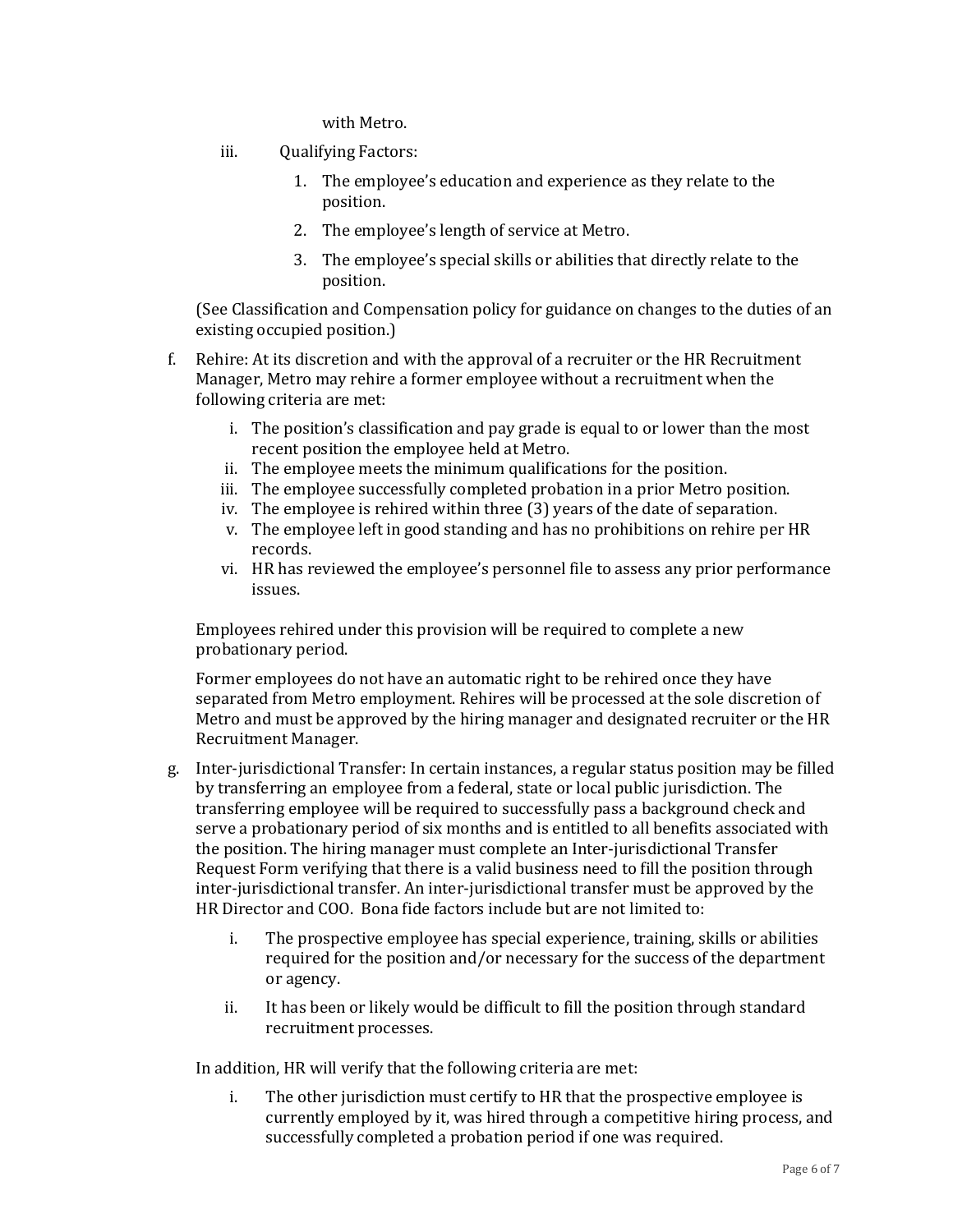with Metro.

- iii. Qualifying Factors:
	- 1. The employee's education and experience as they relate to the position.
	- 2. The employee's length of service at Metro.
	- 3. The employee's special skills or abilities that directly relate to the position.

(See Classification and Compensation policy for guidance on changes to the duties of an existing occupied position.)

- f. Rehire: At its discretion and with the approval of a recruiter or the HR Recruitment Manager, Metro may rehire a former employee without a recruitment when the following criteria are met:
	- i. The position's classification and pay grade is equal to or lower than the most recent position the employee held at Metro.
	- ii. The employee meets the minimum qualifications for the position.
	- iii. The employee successfully completed probation in a prior Metro position.
	- iv. The employee is rehired within three (3) years of the date of separation.
	- v. The employee left in good standing and has no prohibitions on rehire per HR records.
	- vi. HR has reviewed the employee's personnel file to assess any prior performance issues.

Employees rehired under this provision will be required to complete a new probationary period.

Former employees do not have an automatic right to be rehired once they have separated from Metro employment. Rehires will be processed at the sole discretion of Metro and must be approved by the hiring manager and designated recruiter or the HR Recruitment Manager.

- g. Inter-jurisdictional Transfer: In certain instances, a regular status position may be filled by transferring an employee from a federal, state or local public jurisdiction. The transferring employee will be required to successfully pass a background check and serve a probationary period of six months and is entitled to all benefits associated with the position. The hiring manager must complete an Inter-jurisdictional Transfer Request Form verifying that there is a valid business need to fill the position through inter-jurisdictional transfer. An inter-jurisdictional transfer must be approved by the HR Director and COO. Bona fide factors include but are not limited to:
	- i. The prospective employee has special experience, training, skills or abilities required for the position and/or necessary for the success of the department or agency.
	- ii. It has been or likely would be difficult to fill the position through standard recruitment processes.

In addition, HR will verify that the following criteria are met:

i. The other jurisdiction must certify to HR that the prospective employee is currently employed by it, was hired through a competitive hiring process, and successfully completed a probation period if one was required.